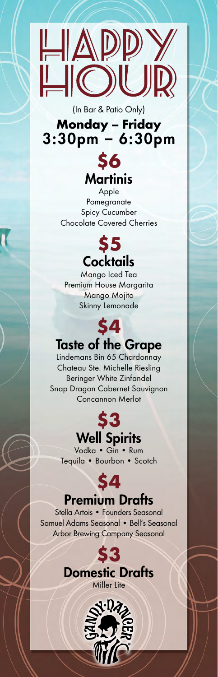

## (In Bar & Patio Only) **Monday – Friday** 3:30pm – 6:30pm



Apple Pomegranate Spicy Cucumber Chocolate Covered Cherries



Mango Iced Tea Premium House Margarita Mango Mojito Skinny Lemonade

## **\$4** Taste of the Grape

Lindemans Bin 65 Chardonnay Chateau Ste. Michelle Riesling Beringer White Zinfandel Snap Dragon Cabernet Sauvignon Concannon Merlot



Vodka • Gin • Rum Tequila • Bourbon • Scotch

## **\$4**

## Premium Drafts

Stella Artois • Founders Seasonal Samuel Adams Seasonal • Bell's Seasonal Arbor Brewing Company Seasonal